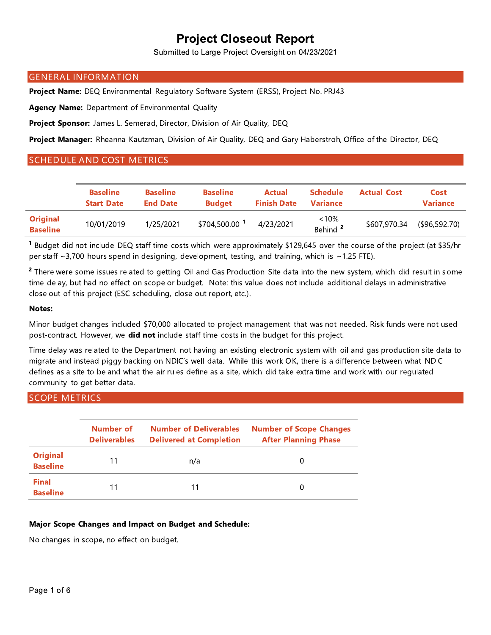Submitted to Large Project Oversight on 04/23/2021

### **GENERAL INFORMATION**

Project Name: DEQ Environmental Regulatory Software System (ERSS), Project No. PRJ43

Agency Name: Department of Environmental Quality

Project Sponsor: James L. Semerad, Director, Division of Air Quality, DEQ

Project Manager: Rheanna Kautzman, Division of Air Quality, DEQ and Gary Haberstroh, Office of the Director, DEQ

### **SCHEDULE AND COST METRICS**

|                                    | <b>Baseline</b><br><b>Start Date</b> | <b>Baseline</b><br><b>End Date</b> | <b>Baseline</b><br><b>Budget</b> | Actual<br><b>Finish Date</b> | <b>Schedule</b><br><b>Variance</b> | <b>Actual Cost</b> | Cost<br><b>Variance</b> |
|------------------------------------|--------------------------------------|------------------------------------|----------------------------------|------------------------------|------------------------------------|--------------------|-------------------------|
| <b>Original</b><br><b>Baseline</b> | 10/01/2019                           | 1/25/2021                          | \$704,500.00 1                   | 4/23/2021                    | <10%<br>Behind <sup>2</sup>        | \$607,970.34       | (\$96,592.70)           |

<sup>1</sup> Budget did not include DEQ staff time costs which were approximately \$129,645 over the course of the project (at \$35/hr per staff ~3,700 hours spend in designing, development, testing, and training, which is ~1.25 FTE).

<sup>2</sup> There were some issues related to getting Oil and Gas Production Site data into the new system, which did result in some time delay, but had no effect on scope or budget. Note: this value does not include additional delays in administrative close out of this project (ESC scheduling, close out report, etc.).

#### **Notes:**

Minor budget changes included \$70,000 allocated to project management that was not needed. Risk funds were not used post-contract. However, we did not include staff time costs in the budget for this project.

Time delay was related to the Department not having an existing electronic system with oil and gas production site data to migrate and instead piggy backing on NDIC's well data. While this work OK, there is a difference between what NDIC defines as a site to be and what the air rules define as a site, which did take extra time and work with our regulated community to get better data.

### **SCOPE METRICS**

|                                    | Number of<br><b>Deliverables</b> | <b>Number of Deliverables</b><br><b>Delivered at Completion</b> | <b>Number of Scope Changes</b><br><b>After Planning Phase</b> |
|------------------------------------|----------------------------------|-----------------------------------------------------------------|---------------------------------------------------------------|
| <b>Original</b><br><b>Baseline</b> | 11                               | n/a                                                             | O                                                             |
| <b>Final</b><br><b>Baseline</b>    | 11                               | 11                                                              |                                                               |

### Major Scope Changes and Impact on Budget and Schedule:

No changes in scope, no effect on budget.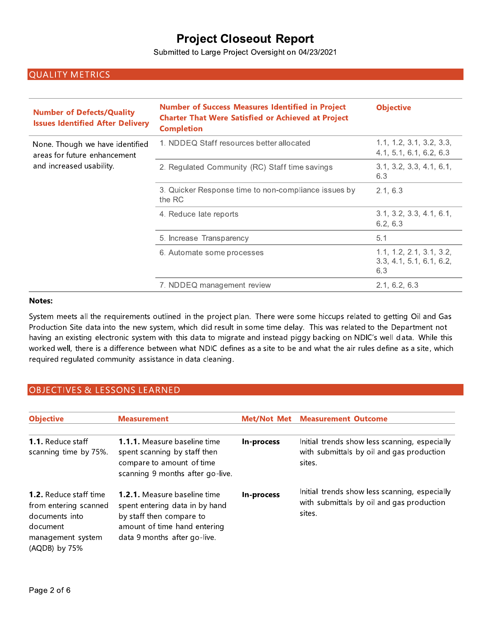Submitted to Large Project Oversight on 04/23/2021

## **QUALITY METRICS**

| <b>Number of Defects/Quality</b><br><b>Issues Identified After Delivery</b> | <b>Number of Success Measures Identified in Project</b><br><b>Charter That Were Satisfied or Achieved at Project</b><br><b>Completion</b> | <b>Objective</b>                                            |
|-----------------------------------------------------------------------------|-------------------------------------------------------------------------------------------------------------------------------------------|-------------------------------------------------------------|
| None. Though we have identified<br>areas for future enhancement             | 1. NDDEQ Staff resources better allocated                                                                                                 | 1.1, 1.2, 3.1, 3.2, 3.3,<br>4.1, 5.1, 6.1, 6.2, 6.3         |
| and increased usability.                                                    | 2. Regulated Community (RC) Staff time savings                                                                                            | 3.1, 3.2, 3.3, 4.1, 6.1,<br>6.3                             |
|                                                                             | 3. Quicker Response time to non-compliance issues by<br>the RC                                                                            | 2.1, 6.3                                                    |
|                                                                             | 4. Reduce late reports                                                                                                                    | 3.1, 3.2, 3.3, 4.1, 6.1,<br>6.2, 6.3                        |
|                                                                             | 5. Increase Transparency                                                                                                                  | 5.1                                                         |
|                                                                             | 6. Automate some processes                                                                                                                | 1.1, 1.2, 2.1, 3.1, 3.2,<br>3.3, 4.1, 5.1, 6.1, 6.2,<br>6.3 |
|                                                                             | 7. NDDEQ management review                                                                                                                | 2.1, 6.2, 6.3                                               |

### Notes:

System meets all the requirements outlined in the project plan. There were some hiccups related to getting Oil and Gas Production Site data into the new system, which did result in some time delay. This was related to the Department not having an existing electronic system with this data to migrate and instead piggy backing on NDIC's well data. While this worked well, there is a difference between what NDIC defines as a site to be and what the air rules define as a site, which required regulated community assistance in data cleaning.

### **OBJECTIVES & LESSONS LEARNED**

| <b>Objective</b>                                                                                                           | <b>Measurement</b>                                                                                                                                                | Met/Not Met | <b>Measurement Outcome</b>                                                                           |
|----------------------------------------------------------------------------------------------------------------------------|-------------------------------------------------------------------------------------------------------------------------------------------------------------------|-------------|------------------------------------------------------------------------------------------------------|
| <b>1.1.</b> Reduce staff<br>scanning time by 75%.                                                                          | <b>1.1.1.</b> Measure baseline time<br>spent scanning by staff then<br>compare to amount of time<br>scanning 9 months after go-live.                              | In-process  | Initial trends show less scanning, especially<br>with submittals by oil and gas production<br>sites. |
| <b>1.2.</b> Reduce staff time<br>from entering scanned<br>documents into<br>document<br>management system<br>(AQDB) by 75% | <b>1.2.1.</b> Measure baseline time<br>spent entering data in by hand<br>by staff then compare to<br>amount of time hand entering<br>data 9 months after go-live. | In-process  | Initial trends show less scanning, especially<br>with submittals by oil and gas production<br>sites. |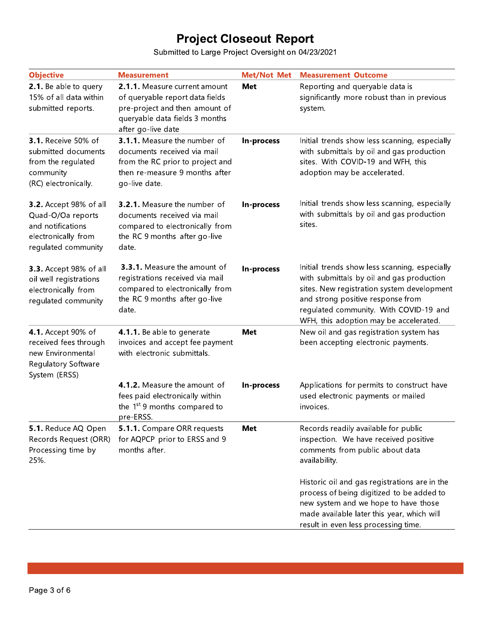Submitted to Large Project Oversight on 04/23/2021

| <b>Objective</b>                                                                                                      | <b>Measurement</b>                                                                                                                                         | <b>Met/Not Met</b> | <b>Measurement Outcome</b>                                                                                                                                                                                                                                        |
|-----------------------------------------------------------------------------------------------------------------------|------------------------------------------------------------------------------------------------------------------------------------------------------------|--------------------|-------------------------------------------------------------------------------------------------------------------------------------------------------------------------------------------------------------------------------------------------------------------|
| 2.1. Be able to query<br>15% of all data within<br>submitted reports.                                                 | 2.1.1. Measure current amount<br>of queryable report data fields<br>pre-project and then amount of<br>queryable data fields 3 months<br>after go-live date | Met                | Reporting and queryable data is<br>significantly more robust than in previous<br>system.                                                                                                                                                                          |
| <b>3.1.</b> Receive 50% of<br>submitted documents<br>from the regulated<br>community<br>(RC) electronically.          | 3.1.1. Measure the number of<br>documents received via mail<br>from the RC prior to project and<br>then re-measure 9 months after<br>go-live date.         | In-process         | Initial trends show less scanning, especially<br>with submittals by oil and gas production<br>sites. With COVID-19 and WFH, this<br>adoption may be accelerated.                                                                                                  |
| <b>3.2.</b> Accept 98% of all<br>Quad-O/Oa reports<br>and notifications<br>electronically from<br>regulated community | 3.2.1. Measure the number of<br>documents received via mail<br>compared to electronically from<br>the RC 9 months after go-live<br>date.                   | In-process         | Initial trends show less scanning, especially<br>with submittals by oil and gas production<br>sites.                                                                                                                                                              |
| <b>3.3.</b> Accept 98% of all<br>oil well registrations<br>electronically from<br>regulated community                 | 3.3.1. Measure the amount of<br>registrations received via mail<br>compared to electronically from<br>the RC 9 months after go-live<br>date.               | In-process         | Initial trends show less scanning, especially<br>with submittals by oil and gas production<br>sites. New registration system development<br>and strong positive response from<br>regulated community. With COVID-19 and<br>WFH, this adoption may be accelerated. |
| 4.1. Accept 90% of<br>received fees through<br>new Environmental<br>Regulatory Software<br>System (ERSS)              | 4.1.1. Be able to generate<br>invoices and accept fee payment<br>with electronic submittals.                                                               | <b>Met</b>         | New oil and gas registration system has<br>been accepting electronic payments.                                                                                                                                                                                    |
|                                                                                                                       | 4.1.2. Measure the amount of<br>fees paid electronically within<br>the 1 <sup>st</sup> 9 months compared to<br>pre-ERSS.                                   | In-process         | Applications for permits to construct have<br>used electronic payments or mailed<br>invoices.                                                                                                                                                                     |
| 5.1. Reduce AQ Open<br>Records Request (ORR)<br>Processing time by<br>25%.                                            | 5.1.1. Compare ORR requests<br>for AQPCP prior to ERSS and 9<br>months after.                                                                              | Met                | Records readily available for public<br>inspection. We have received positive<br>comments from public about data<br>availability.                                                                                                                                 |
|                                                                                                                       |                                                                                                                                                            |                    | Historic oil and gas registrations are in the<br>process of being digitized to be added to<br>new system and we hope to have those<br>made available later this year, which will<br>result in even less processing time.                                          |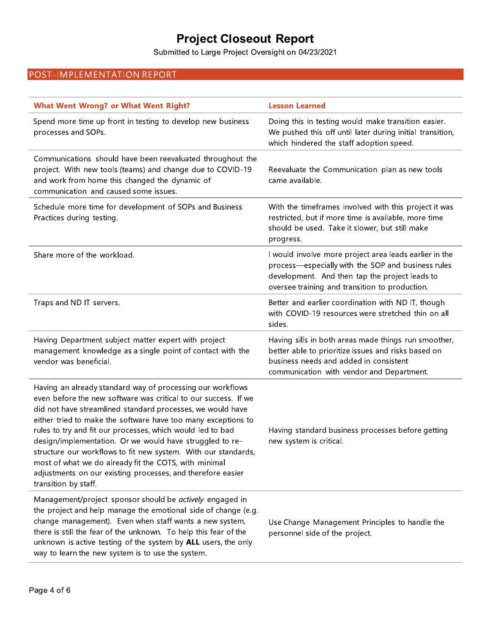## POST-IMPLEMENTATION REPORT

| <b>Project Closeout Report</b><br>Submitted to Large Project Oversight on 04/23/2021                                                                                                                                                                                                                                                                                                                                                                                                                                                                                                                     |                                                                                                                                                                                                                  |
|----------------------------------------------------------------------------------------------------------------------------------------------------------------------------------------------------------------------------------------------------------------------------------------------------------------------------------------------------------------------------------------------------------------------------------------------------------------------------------------------------------------------------------------------------------------------------------------------------------|------------------------------------------------------------------------------------------------------------------------------------------------------------------------------------------------------------------|
| POST-IMPLEMENTATION REPORT                                                                                                                                                                                                                                                                                                                                                                                                                                                                                                                                                                               |                                                                                                                                                                                                                  |
|                                                                                                                                                                                                                                                                                                                                                                                                                                                                                                                                                                                                          |                                                                                                                                                                                                                  |
| <b>What Went Wrong? or What Went Right?</b>                                                                                                                                                                                                                                                                                                                                                                                                                                                                                                                                                              | <b>Lesson Learned</b>                                                                                                                                                                                            |
| Spend more time up front in testing to develop new business<br>processes and SOPs.                                                                                                                                                                                                                                                                                                                                                                                                                                                                                                                       | Doing this in testing would make transition easier.<br>We pushed this off until later during initial transition,<br>which hindered the staff adoption speed.                                                     |
| Communications should have been reevaluated throughout the<br>project. With new tools (teams) and change due to COVID-19<br>and work from home this changed the dynamic of<br>communication and caused some issues.                                                                                                                                                                                                                                                                                                                                                                                      | Reevaluate the Communication plan as new tools<br>came available.                                                                                                                                                |
| Schedule more time for development of SOPs and Business<br>Practices during testing.                                                                                                                                                                                                                                                                                                                                                                                                                                                                                                                     | With the timeframes involved with this project it was<br>restricted, but if more time is available, more time<br>should be used. Take it slower, but still make<br>progress.                                     |
| Share more of the workload.                                                                                                                                                                                                                                                                                                                                                                                                                                                                                                                                                                              | I would involve more project area leads earlier in the<br>process-especially with the SOP and business rules<br>development. And then tap the project leads to<br>oversee training and transition to production. |
| Traps and ND IT servers.                                                                                                                                                                                                                                                                                                                                                                                                                                                                                                                                                                                 | Better and earlier coordination with ND IT, though<br>with COVID-19 resources were stretched thin on all<br>sides.                                                                                               |
| Having Department subject matter expert with project<br>management knowledge as a single point of contact with the<br>vendor was beneficial.                                                                                                                                                                                                                                                                                                                                                                                                                                                             | Having sills in both areas made things run smoother,<br>better able to prioritize issues and risks based on<br>business needs and added in consistent<br>communication with vendor and Department.               |
| Having an already standard way of processing our workflows<br>even before the new software was critical to our success. If we<br>did not have streamlined standard processes, we would have<br>either tried to make the software have too many exceptions to<br>rules to try and fit our processes, which would led to bad<br>design/implementation. Or we would have struggled to re-<br>structure our workflows to fit new system. With our standards,<br>most of what we do already fit the COTS, with minimal<br>adjustments on our existing processes, and therefore easier<br>transition by staff. | Having standard business processes before getting<br>new system is critical.                                                                                                                                     |
| Management/project sponsor should be actively engaged in<br>the project and help manage the emotional side of change (e.g.<br>change management). Even when staff wants a new system,<br>there is still the fear of the unknown. To help this fear of the<br>unknown is active testing of the system by ALL users, the only<br>way to learn the new system is to use the system.                                                                                                                                                                                                                         | Use Change Management Principles to handle the<br>personnel side of the project.                                                                                                                                 |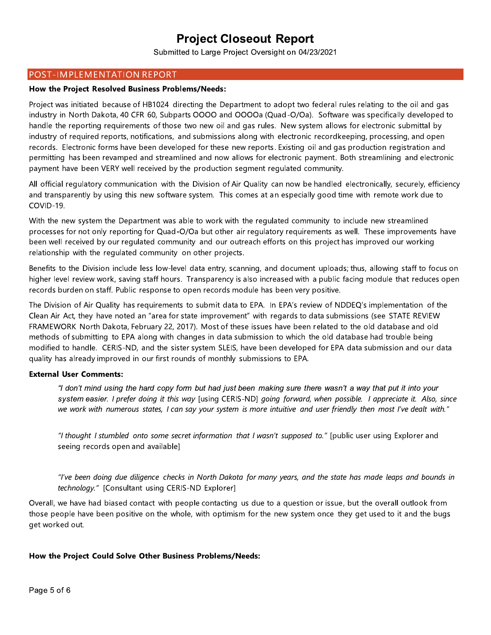Submitted to Large Project Oversight on 04/23/2021

### POST-IMPLEMENTATION REPORT

#### How the Project Resolved Business Problems/Needs:

Project was initiated because of HB1024 directing the Department to adopt two federal rules relating to the oil and gas industry in North Dakota, 40 CFR 60, Subparts OOOO and OOOOa (Quad-O/Oa). Software was specifically developed to handle the reporting requirements of those two new oil and gas rules. New system allows for electronic submittal by industry of required reports, notifications, and submissions along with electronic recordkeeping, processing, and open records. Electronic forms have been developed for these new reports. Existing oil and gas production registration and permitting has been revamped and streamlined and now allows for electronic payment. Both streamlining and electronic payment have been VERY well received by the production segment regulated community.

All official regulatory communication with the Division of Air Quality can now be handled electronically, securely, efficiency and transparently by using this new software system. This comes at an especially good time with remote work due to COVID-19.

With the new system the Department was able to work with the regulated community to include new streamlined processes for not only reporting for Quad-O/Oa but other air regulatory reguirements as well. These improvements have been well received by our regulated community and our outreach efforts on this project has improved our working relationship with the regulated community on other projects.

Benefits to the Division include less low-level data entry, scanning, and document uploads; thus, allowing staff to focus on higher level review work, saving staff hours. Transparency is also increased with a public facing module that reduces open records burden on staff. Public response to open records module has been very positive.

The Division of Air Quality has requirements to submit data to EPA. In EPA's review of NDDEQ's implementation of the Clean Air Act, they have noted an "area for state improvement" with regards to data submissions (see STATE REVIEW FRAMEWORK North Dakota, February 22, 2017). Most of these issues have been related to the old database and old methods of submitting to EPA along with changes in data submission to which the old database had trouble being modified to handle. CERIS-ND, and the sister system SLEIS, have been developed for EPA data submission and our data quality has already improved in our first rounds of monthly submissions to EPA.

### **External User Comments:**

"I don't mind using the hard copy form but had just been making sure there wasn't a way that put it into your system easier. I prefer doing it this way [using CERIS-ND] going forward, when possible. I appreciate it. Also, since we work with numerous states, I can say your system is more intuitive and user friendly then most I've dealt with."

"I thought I stumbled onto some secret information that I wasn't supposed to." [public user using Explorer and seeing records open and available]

"I've been doing due diligence checks in North Dakota for many years, and the state has made leaps and bounds in technology." [Consultant using CERIS-ND Explorer]

Overall, we have had biased contact with people contacting us due to a question or issue, but the overall outlook from those people have been positive on the whole, with optimism for the new system once they get used to it and the bugs get worked out.

### How the Project Could Solve Other Business Problems/Needs: